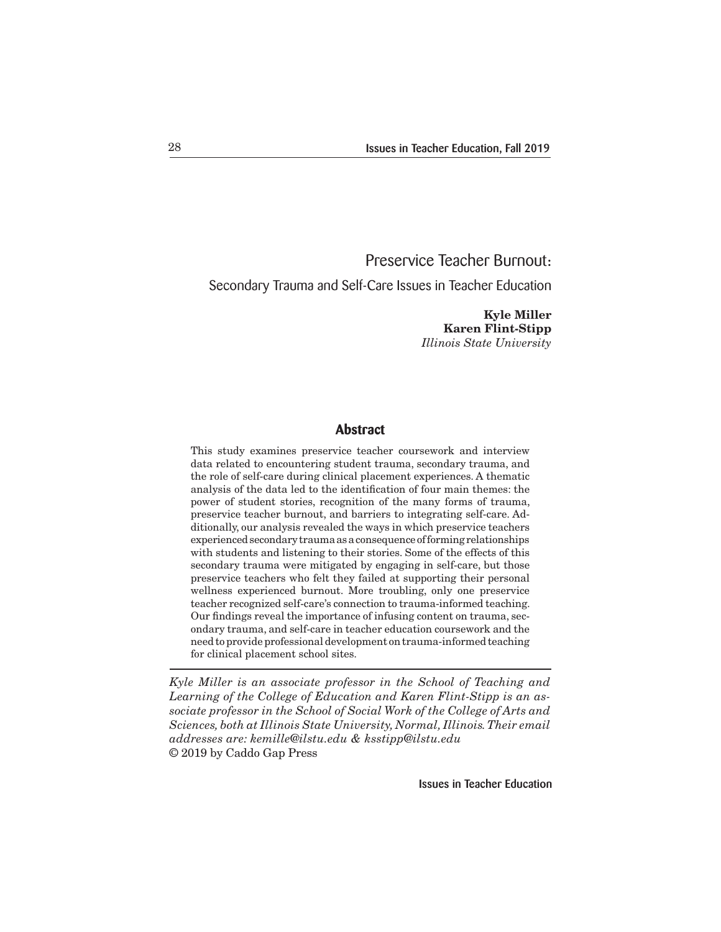Preservice Teacher Burnout:

Secondary Trauma and Self-Care Issues in Teacher Education

Kyle Miller Karen Flint-Stipp *Illinois State University*

# **Abstract**

This study examines preservice teacher coursework and interview data related to encountering student trauma, secondary trauma, and the role of self-care during clinical placement experiences. A thematic analysis of the data led to the identification of four main themes: the power of student stories, recognition of the many forms of trauma, preservice teacher burnout, and barriers to integrating self-care. Additionally, our analysis revealed the ways in which preservice teachers experienced secondary trauma as a consequence of forming relationships with students and listening to their stories. Some of the effects of this secondary trauma were mitigated by engaging in self-care, but those preservice teachers who felt they failed at supporting their personal wellness experienced burnout. More troubling, only one preservice teacher recognized self-care's connection to trauma-informed teaching. Our findings reveal the importance of infusing content on trauma, secondary trauma, and self-care in teacher education coursework and the need to provide professional development on trauma-informed teaching for clinical placement school sites.

*Kyle Miller is an associate professor in the School of Teaching and Learning of the College of Education and Karen Flint-Stipp is an associate professor in the School of Social Work of the College of Arts and Sciences, both at Illinois State University, Normal, Illinois. Their email addresses are: kemille@ilstu.edu & ksstipp@ilstu.edu* © 2019 by Caddo Gap Press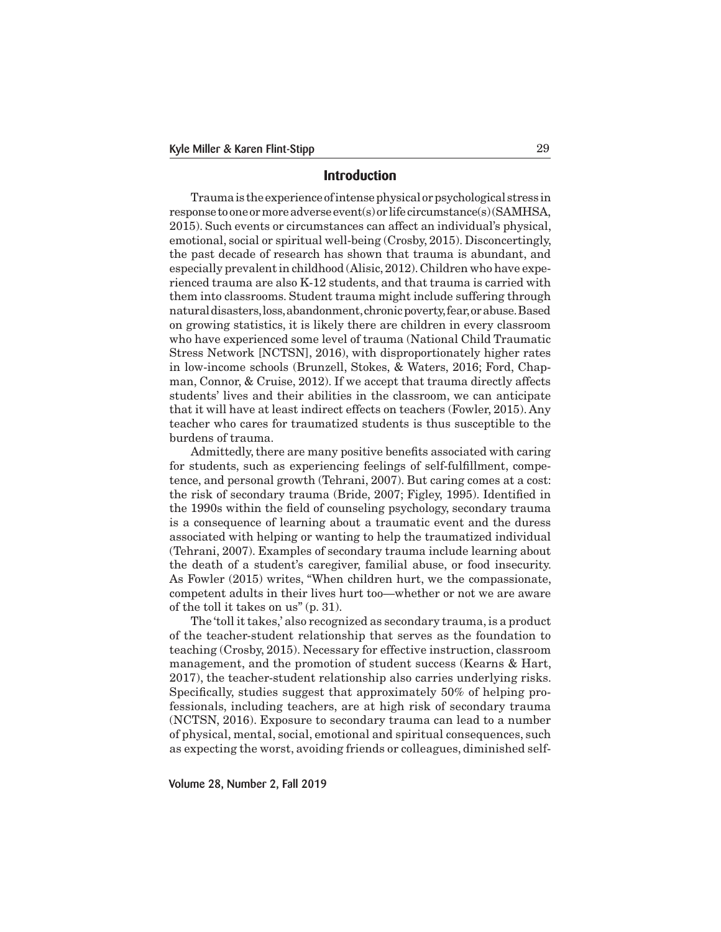# **Introduction**

Trauma is the experience of intense physical or psychological stress in response to one or more adverse event(s) or life circumstance(s) (SAMHSA, 2015). Such events or circumstances can affect an individual's physical, emotional, social or spiritual well-being (Crosby, 2015). Disconcertingly, the past decade of research has shown that trauma is abundant, and especially prevalent in childhood (Alisic, 2012). Children who have experienced trauma are also K-12 students, and that trauma is carried with them into classrooms. Student trauma might include suffering through natural disasters, loss, abandonment, chronic poverty, fear, or abuse. Based on growing statistics, it is likely there are children in every classroom who have experienced some level of trauma (National Child Traumatic Stress Network [NCTSN], 2016), with disproportionately higher rates in low-income schools (Brunzell, Stokes, & Waters, 2016; Ford, Chapman, Connor, & Cruise, 2012). If we accept that trauma directly affects students' lives and their abilities in the classroom, we can anticipate that it will have at least indirect effects on teachers (Fowler, 2015). Any teacher who cares for traumatized students is thus susceptible to the burdens of trauma.

Admittedly, there are many positive benefits associated with caring for students, such as experiencing feelings of self-fulfillment, competence, and personal growth (Tehrani, 2007). But caring comes at a cost: the risk of secondary trauma (Bride, 2007; Figley, 1995). Identified in the 1990s within the field of counseling psychology, secondary trauma is a consequence of learning about a traumatic event and the duress associated with helping or wanting to help the traumatized individual (Tehrani, 2007). Examples of secondary trauma include learning about the death of a student's caregiver, familial abuse, or food insecurity. As Fowler (2015) writes, "When children hurt, we the compassionate, competent adults in their lives hurt too—whether or not we are aware of the toll it takes on us" (p. 31).

The 'toll it takes,' also recognized as secondary trauma, is a product of the teacher-student relationship that serves as the foundation to teaching (Crosby, 2015). Necessary for effective instruction, classroom management, and the promotion of student success (Kearns & Hart, 2017), the teacher-student relationship also carries underlying risks. Specifically, studies suggest that approximately 50% of helping professionals, including teachers, are at high risk of secondary trauma (NCTSN, 2016). Exposure to secondary trauma can lead to a number of physical, mental, social, emotional and spiritual consequences, such as expecting the worst, avoiding friends or colleagues, diminished self-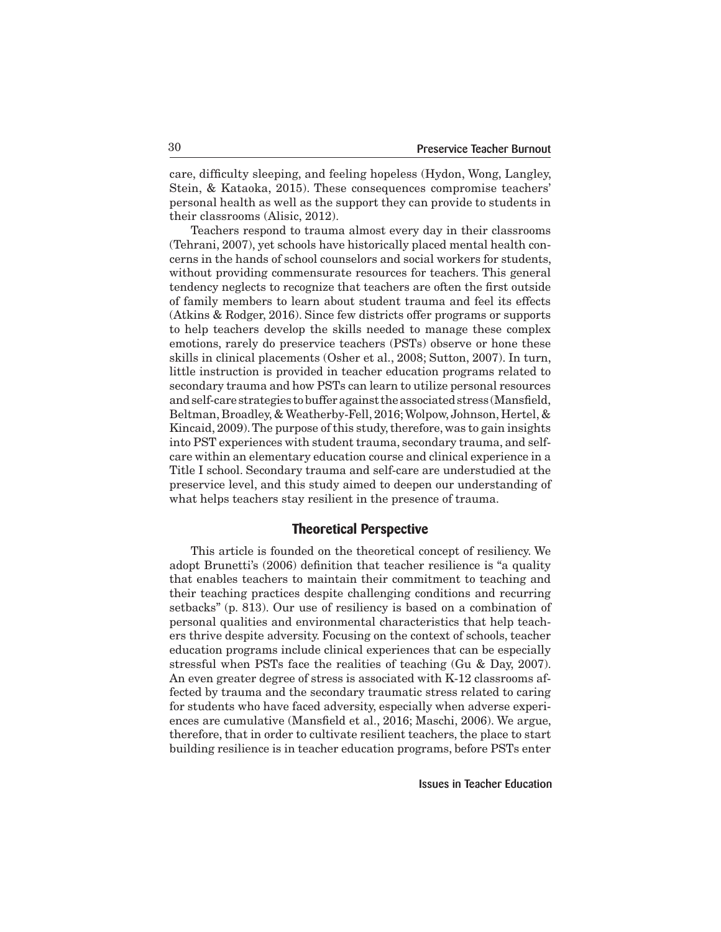care, difficulty sleeping, and feeling hopeless (Hydon, Wong, Langley, Stein, & Kataoka, 2015). These consequences compromise teachers' personal health as well as the support they can provide to students in their classrooms (Alisic, 2012).

Teachers respond to trauma almost every day in their classrooms (Tehrani, 2007), yet schools have historically placed mental health concerns in the hands of school counselors and social workers for students, without providing commensurate resources for teachers. This general tendency neglects to recognize that teachers are often the first outside of family members to learn about student trauma and feel its effects (Atkins & Rodger, 2016). Since few districts offer programs or supports to help teachers develop the skills needed to manage these complex emotions, rarely do preservice teachers (PSTs) observe or hone these skills in clinical placements (Osher et al., 2008; Sutton, 2007). In turn, little instruction is provided in teacher education programs related to secondary trauma and how PSTs can learn to utilize personal resources and self-care strategies to buffer against the associated stress (Mansfield, Beltman, Broadley, & Weatherby-Fell, 2016; Wolpow, Johnson, Hertel, & Kincaid, 2009). The purpose of this study, therefore, was to gain insights into PST experiences with student trauma, secondary trauma, and selfcare within an elementary education course and clinical experience in a Title I school. Secondary trauma and self-care are understudied at the preservice level, and this study aimed to deepen our understanding of what helps teachers stay resilient in the presence of trauma.

### **Theoretical Perspective**

This article is founded on the theoretical concept of resiliency. We adopt Brunetti's (2006) definition that teacher resilience is "a quality that enables teachers to maintain their commitment to teaching and their teaching practices despite challenging conditions and recurring setbacks" (p. 813). Our use of resiliency is based on a combination of personal qualities and environmental characteristics that help teachers thrive despite adversity. Focusing on the context of schools, teacher education programs include clinical experiences that can be especially stressful when PSTs face the realities of teaching (Gu & Day, 2007). An even greater degree of stress is associated with K-12 classrooms affected by trauma and the secondary traumatic stress related to caring for students who have faced adversity, especially when adverse experiences are cumulative (Mansfield et al., 2016; Maschi, 2006). We argue, therefore, that in order to cultivate resilient teachers, the place to start building resilience is in teacher education programs, before PSTs enter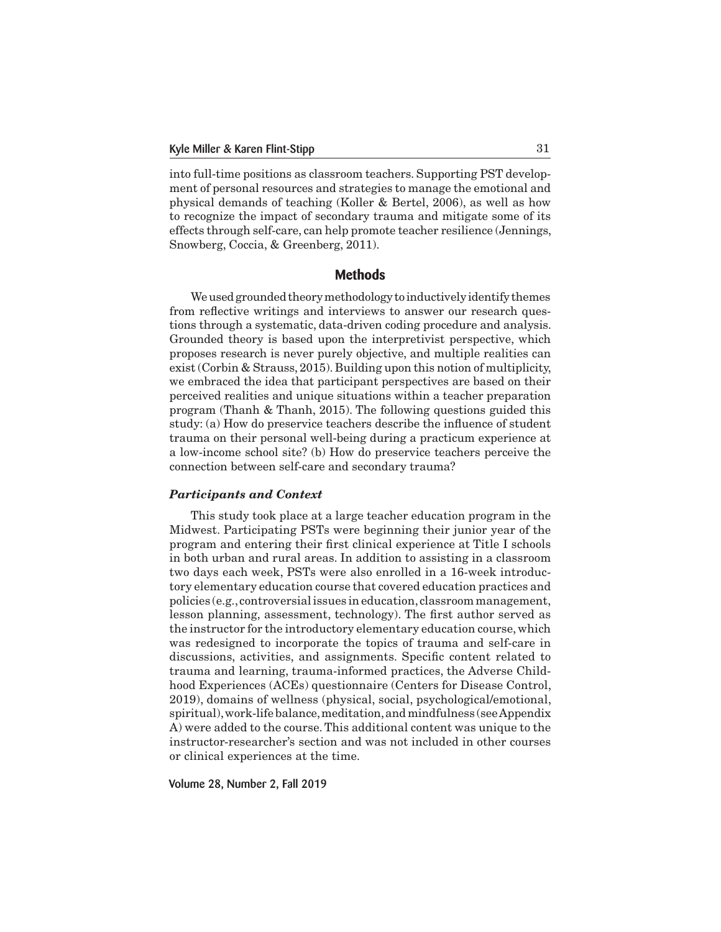into full-time positions as classroom teachers. Supporting PST development of personal resources and strategies to manage the emotional and physical demands of teaching (Koller & Bertel, 2006), as well as how to recognize the impact of secondary trauma and mitigate some of its effects through self-care, can help promote teacher resilience (Jennings, Snowberg, Coccia, & Greenberg, 2011).

# **Methods**

We used grounded theory methodology to inductively identify themes from reflective writings and interviews to answer our research questions through a systematic, data-driven coding procedure and analysis. Grounded theory is based upon the interpretivist perspective, which proposes research is never purely objective, and multiple realities can exist (Corbin & Strauss, 2015). Building upon this notion of multiplicity, we embraced the idea that participant perspectives are based on their perceived realities and unique situations within a teacher preparation program (Thanh & Thanh, 2015). The following questions guided this study: (a) How do preservice teachers describe the influence of student trauma on their personal well-being during a practicum experience at a low-income school site? (b) How do preservice teachers perceive the connection between self-care and secondary trauma?

#### *Participants and Context*

This study took place at a large teacher education program in the Midwest. Participating PSTs were beginning their junior year of the program and entering their first clinical experience at Title I schools in both urban and rural areas. In addition to assisting in a classroom two days each week, PSTs were also enrolled in a 16-week introductory elementary education course that covered education practices and policies (e.g., controversial issues in education, classroom management, lesson planning, assessment, technology). The first author served as the instructor for the introductory elementary education course, which was redesigned to incorporate the topics of trauma and self-care in discussions, activities, and assignments. Specific content related to trauma and learning, trauma-informed practices, the Adverse Childhood Experiences (ACEs) questionnaire (Centers for Disease Control, 2019), domains of wellness (physical, social, psychological/emotional, spiritual), work-life balance, meditation, and mindfulness (see Appendix A) were added to the course. This additional content was unique to the instructor-researcher's section and was not included in other courses or clinical experiences at the time.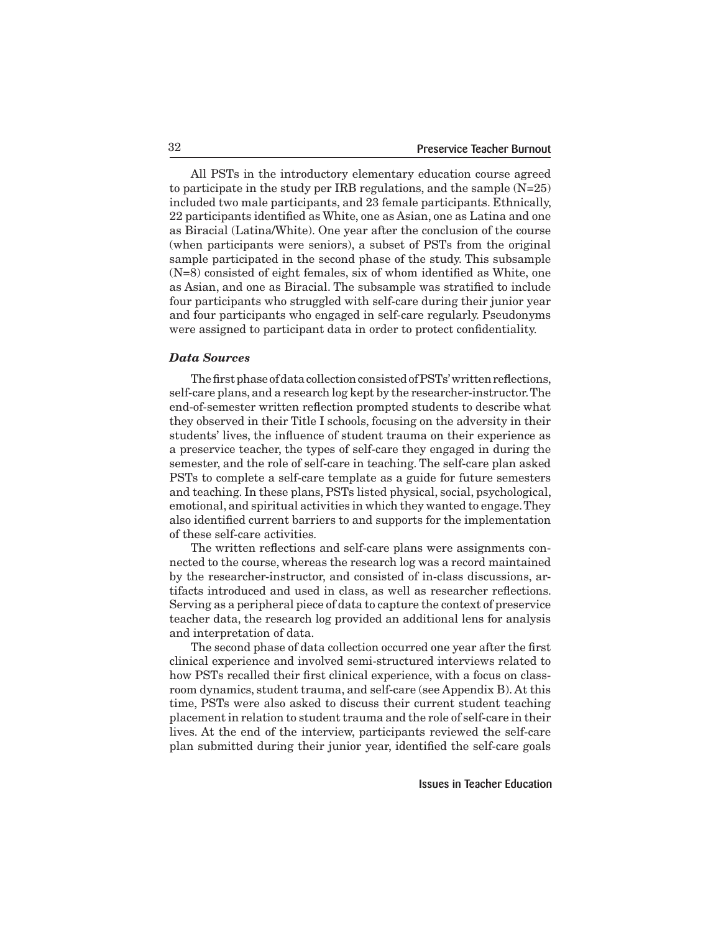All PSTs in the introductory elementary education course agreed to participate in the study per IRB regulations, and the sample (N=25) included two male participants, and 23 female participants. Ethnically, 22 participants identified as White, one as Asian, one as Latina and one as Biracial (Latina/White). One year after the conclusion of the course (when participants were seniors), a subset of PSTs from the original sample participated in the second phase of the study. This subsample (N=8) consisted of eight females, six of whom identified as White, one as Asian, and one as Biracial. The subsample was stratified to include four participants who struggled with self-care during their junior year and four participants who engaged in self-care regularly. Pseudonyms were assigned to participant data in order to protect confidentiality.

## *Data Sources*

The first phase of data collection consisted of PSTs' written reflections, self-care plans, and a research log kept by the researcher-instructor. The end-of-semester written reflection prompted students to describe what they observed in their Title I schools, focusing on the adversity in their students' lives, the influence of student trauma on their experience as a preservice teacher, the types of self-care they engaged in during the semester, and the role of self-care in teaching. The self-care plan asked PSTs to complete a self-care template as a guide for future semesters and teaching. In these plans, PSTs listed physical, social, psychological, emotional, and spiritual activities in which they wanted to engage. They also identified current barriers to and supports for the implementation of these self-care activities.

The written reflections and self-care plans were assignments connected to the course, whereas the research log was a record maintained by the researcher-instructor, and consisted of in-class discussions, artifacts introduced and used in class, as well as researcher reflections. Serving as a peripheral piece of data to capture the context of preservice teacher data, the research log provided an additional lens for analysis and interpretation of data.

The second phase of data collection occurred one year after the first clinical experience and involved semi-structured interviews related to how PSTs recalled their first clinical experience, with a focus on classroom dynamics, student trauma, and self-care (see Appendix B). At this time, PSTs were also asked to discuss their current student teaching placement in relation to student trauma and the role of self-care in their lives. At the end of the interview, participants reviewed the self-care plan submitted during their junior year, identified the self-care goals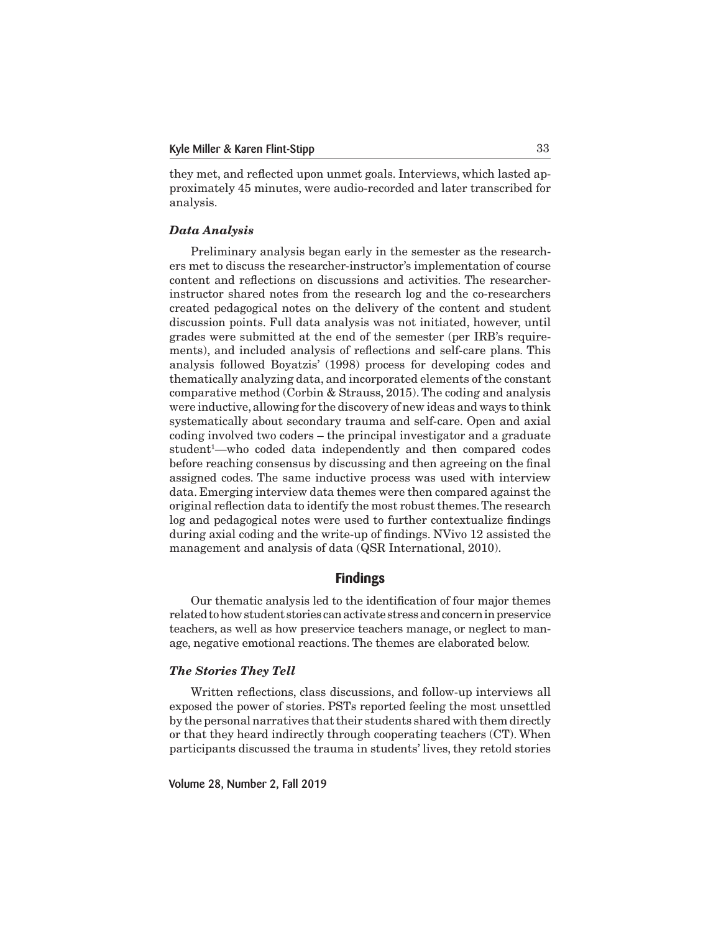they met, and reflected upon unmet goals. Interviews, which lasted approximately 45 minutes, were audio-recorded and later transcribed for analysis.

### *Data Analysis*

Preliminary analysis began early in the semester as the researchers met to discuss the researcher-instructor's implementation of course content and reflections on discussions and activities. The researcherinstructor shared notes from the research log and the co-researchers created pedagogical notes on the delivery of the content and student discussion points. Full data analysis was not initiated, however, until grades were submitted at the end of the semester (per IRB's requirements), and included analysis of reflections and self-care plans. This analysis followed Boyatzis' (1998) process for developing codes and thematically analyzing data, and incorporated elements of the constant comparative method (Corbin & Strauss, 2015). The coding and analysis were inductive, allowing for the discovery of new ideas and ways to think systematically about secondary trauma and self-care. Open and axial coding involved two coders – the principal investigator and a graduate student<sup>1</sup>—who coded data independently and then compared codes before reaching consensus by discussing and then agreeing on the final assigned codes. The same inductive process was used with interview data. Emerging interview data themes were then compared against the original reflection data to identify the most robust themes. The research log and pedagogical notes were used to further contextualize findings during axial coding and the write-up of findings. NVivo 12 assisted the management and analysis of data (QSR International, 2010).

# **Findings**

Our thematic analysis led to the identification of four major themes related to how student stories can activate stress and concern in preservice teachers, as well as how preservice teachers manage, or neglect to manage, negative emotional reactions. The themes are elaborated below.

#### *The Stories They Tell*

Written reflections, class discussions, and follow-up interviews all exposed the power of stories. PSTs reported feeling the most unsettled by the personal narratives that their students shared with them directly or that they heard indirectly through cooperating teachers (CT). When participants discussed the trauma in students' lives, they retold stories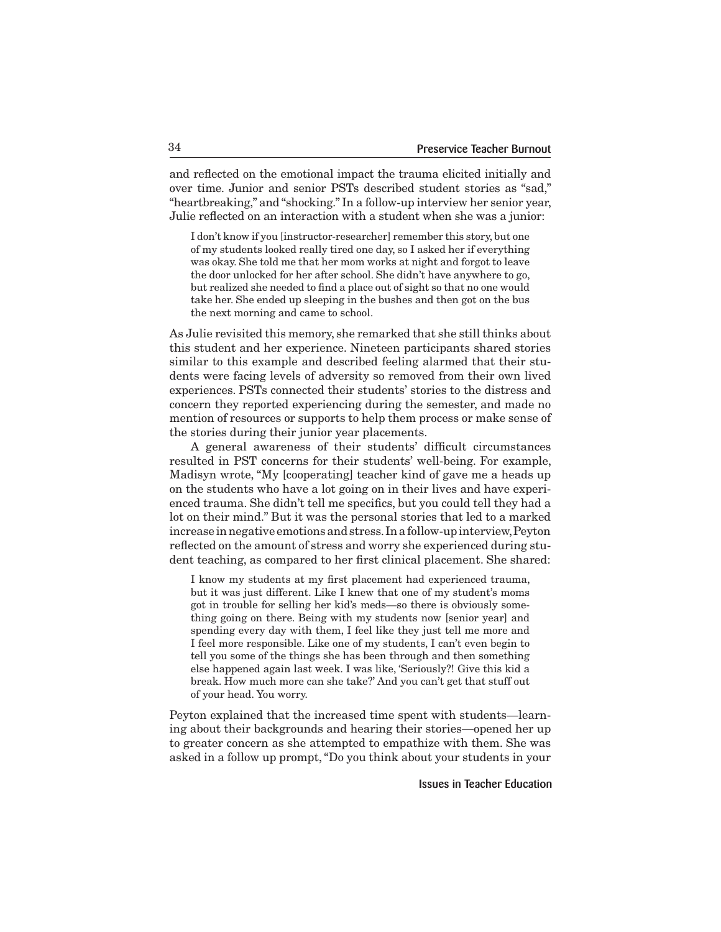and reflected on the emotional impact the trauma elicited initially and over time. Junior and senior PSTs described student stories as "sad," "heartbreaking," and "shocking." In a follow-up interview her senior year, Julie reflected on an interaction with a student when she was a junior:

I don't know if you [instructor-researcher] remember this story, but one of my students looked really tired one day, so I asked her if everything was okay. She told me that her mom works at night and forgot to leave the door unlocked for her after school. She didn't have anywhere to go, but realized she needed to find a place out of sight so that no one would take her. She ended up sleeping in the bushes and then got on the bus the next morning and came to school.

As Julie revisited this memory, she remarked that she still thinks about this student and her experience. Nineteen participants shared stories similar to this example and described feeling alarmed that their students were facing levels of adversity so removed from their own lived experiences. PSTs connected their students' stories to the distress and concern they reported experiencing during the semester, and made no mention of resources or supports to help them process or make sense of the stories during their junior year placements.

A general awareness of their students' difficult circumstances resulted in PST concerns for their students' well-being. For example, Madisyn wrote, "My [cooperating] teacher kind of gave me a heads up on the students who have a lot going on in their lives and have experienced trauma. She didn't tell me specifics, but you could tell they had a lot on their mind." But it was the personal stories that led to a marked increase in negative emotions and stress. In a follow-up interview, Peyton reflected on the amount of stress and worry she experienced during student teaching, as compared to her first clinical placement. She shared:

I know my students at my first placement had experienced trauma, but it was just different. Like I knew that one of my student's moms got in trouble for selling her kid's meds—so there is obviously something going on there. Being with my students now [senior year] and spending every day with them, I feel like they just tell me more and I feel more responsible. Like one of my students, I can't even begin to tell you some of the things she has been through and then something else happened again last week. I was like, 'Seriously?! Give this kid a break. How much more can she take?' And you can't get that stuff out of your head. You worry.

Peyton explained that the increased time spent with students—learning about their backgrounds and hearing their stories—opened her up to greater concern as she attempted to empathize with them. She was asked in a follow up prompt, "Do you think about your students in your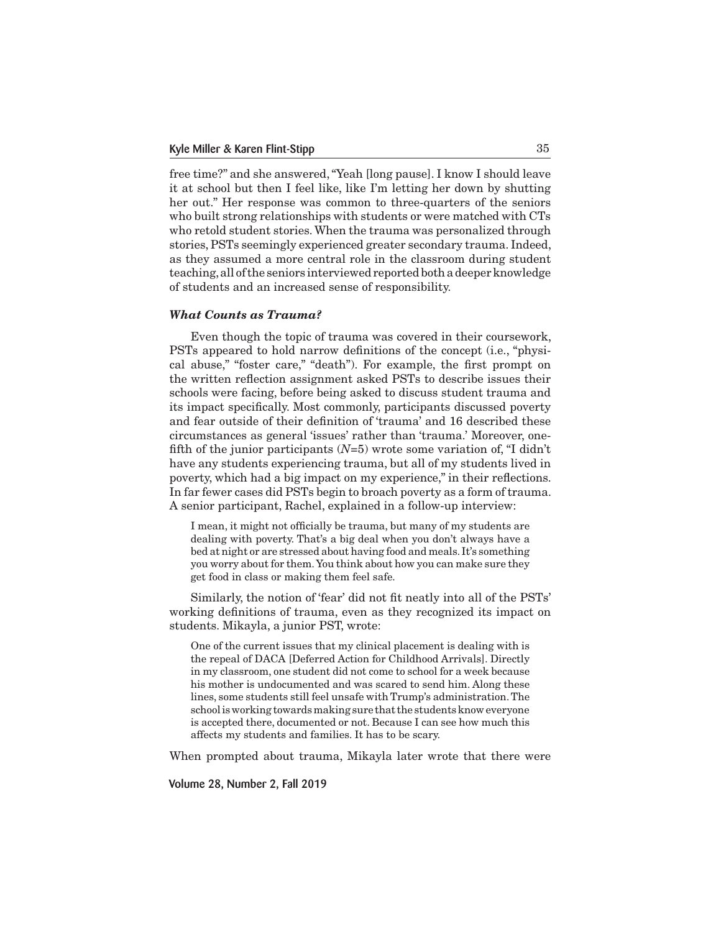free time?" and she answered, "Yeah [long pause]. I know I should leave it at school but then I feel like, like I'm letting her down by shutting her out." Her response was common to three-quarters of the seniors who built strong relationships with students or were matched with CTs who retold student stories. When the trauma was personalized through stories, PSTs seemingly experienced greater secondary trauma. Indeed, as they assumed a more central role in the classroom during student teaching, all of the seniors interviewed reported both a deeper knowledge of students and an increased sense of responsibility.

#### *What Counts as Trauma?*

Even though the topic of trauma was covered in their coursework, PSTs appeared to hold narrow definitions of the concept (i.e., "physical abuse," "foster care," "death"). For example, the first prompt on the written reflection assignment asked PSTs to describe issues their schools were facing, before being asked to discuss student trauma and its impact specifically. Most commonly, participants discussed poverty and fear outside of their definition of 'trauma' and 16 described these circumstances as general 'issues' rather than 'trauma.' Moreover, onefifth of the junior participants (*N*=5) wrote some variation of, "I didn't have any students experiencing trauma, but all of my students lived in poverty, which had a big impact on my experience," in their reflections. In far fewer cases did PSTs begin to broach poverty as a form of trauma. A senior participant, Rachel, explained in a follow-up interview:

I mean, it might not officially be trauma, but many of my students are dealing with poverty. That's a big deal when you don't always have a bed at night or are stressed about having food and meals. It's something you worry about for them. You think about how you can make sure they get food in class or making them feel safe.

Similarly, the notion of 'fear' did not fit neatly into all of the PSTs' working definitions of trauma, even as they recognized its impact on students. Mikayla, a junior PST, wrote:

One of the current issues that my clinical placement is dealing with is the repeal of DACA [Deferred Action for Childhood Arrivals]. Directly in my classroom, one student did not come to school for a week because his mother is undocumented and was scared to send him. Along these lines, some students still feel unsafe with Trump's administration. The school is working towards making sure that the students know everyone is accepted there, documented or not. Because I can see how much this affects my students and families. It has to be scary.

When prompted about trauma, Mikayla later wrote that there were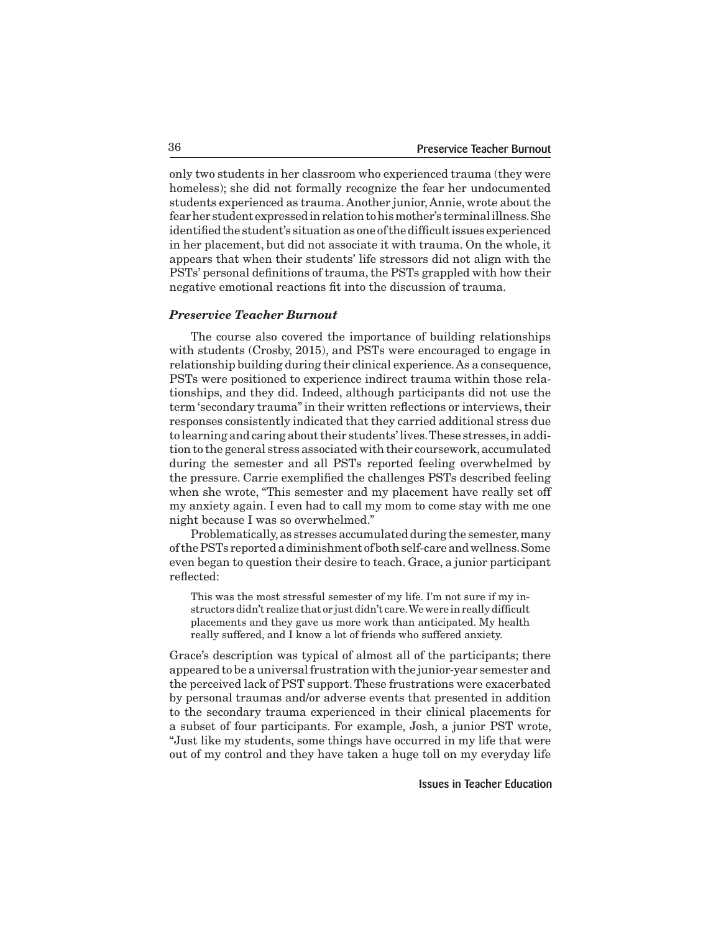only two students in her classroom who experienced trauma (they were homeless); she did not formally recognize the fear her undocumented students experienced as trauma. Another junior, Annie, wrote about the fear her student expressed in relation to his mother's terminal illness. She identified the student's situation as one of the difficult issues experienced in her placement, but did not associate it with trauma. On the whole, it appears that when their students' life stressors did not align with the PSTs' personal definitions of trauma, the PSTs grappled with how their negative emotional reactions fit into the discussion of trauma.

#### *Preservice Teacher Burnout*

The course also covered the importance of building relationships with students (Crosby, 2015), and PSTs were encouraged to engage in relationship building during their clinical experience. As a consequence, PSTs were positioned to experience indirect trauma within those relationships, and they did. Indeed, although participants did not use the term 'secondary trauma" in their written reflections or interviews, their responses consistently indicated that they carried additional stress due to learning and caring about their students' lives. These stresses, in addition to the general stress associated with their coursework, accumulated during the semester and all PSTs reported feeling overwhelmed by the pressure. Carrie exemplified the challenges PSTs described feeling when she wrote, "This semester and my placement have really set off my anxiety again. I even had to call my mom to come stay with me one night because I was so overwhelmed."

Problematically, as stresses accumulated during the semester, many of the PSTs reported a diminishment of both self-care and wellness. Some even began to question their desire to teach. Grace, a junior participant reflected:

This was the most stressful semester of my life. I'm not sure if my instructors didn't realize that or just didn't care. We were in really difficult placements and they gave us more work than anticipated. My health really suffered, and I know a lot of friends who suffered anxiety.

Grace's description was typical of almost all of the participants; there appeared to be a universal frustration with the junior-year semester and the perceived lack of PST support. These frustrations were exacerbated by personal traumas and/or adverse events that presented in addition to the secondary trauma experienced in their clinical placements for a subset of four participants. For example, Josh, a junior PST wrote, "Just like my students, some things have occurred in my life that were out of my control and they have taken a huge toll on my everyday life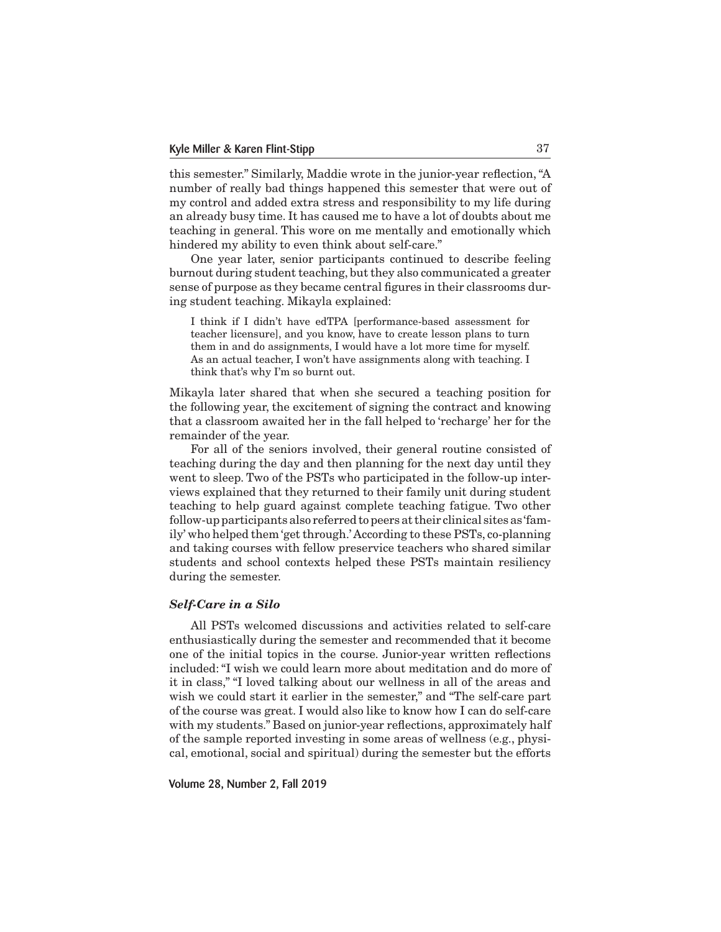this semester." Similarly, Maddie wrote in the junior-year reflection, "A number of really bad things happened this semester that were out of my control and added extra stress and responsibility to my life during an already busy time. It has caused me to have a lot of doubts about me teaching in general. This wore on me mentally and emotionally which hindered my ability to even think about self-care."

One year later, senior participants continued to describe feeling burnout during student teaching, but they also communicated a greater sense of purpose as they became central figures in their classrooms during student teaching. Mikayla explained:

I think if I didn't have edTPA [performance-based assessment for teacher licensure], and you know, have to create lesson plans to turn them in and do assignments, I would have a lot more time for myself. As an actual teacher, I won't have assignments along with teaching. I think that's why I'm so burnt out.

Mikayla later shared that when she secured a teaching position for the following year, the excitement of signing the contract and knowing that a classroom awaited her in the fall helped to 'recharge' her for the remainder of the year.

For all of the seniors involved, their general routine consisted of teaching during the day and then planning for the next day until they went to sleep. Two of the PSTs who participated in the follow-up interviews explained that they returned to their family unit during student teaching to help guard against complete teaching fatigue. Two other follow-up participants also referred to peers at their clinical sites as 'family' who helped them 'get through.' According to these PSTs, co-planning and taking courses with fellow preservice teachers who shared similar students and school contexts helped these PSTs maintain resiliency during the semester.

### *Self-Care in a Silo*

All PSTs welcomed discussions and activities related to self-care enthusiastically during the semester and recommended that it become one of the initial topics in the course. Junior-year written reflections included: "I wish we could learn more about meditation and do more of it in class," "I loved talking about our wellness in all of the areas and wish we could start it earlier in the semester," and "The self-care part of the course was great. I would also like to know how I can do self-care with my students." Based on junior-year reflections, approximately half of the sample reported investing in some areas of wellness (e.g., physical, emotional, social and spiritual) during the semester but the efforts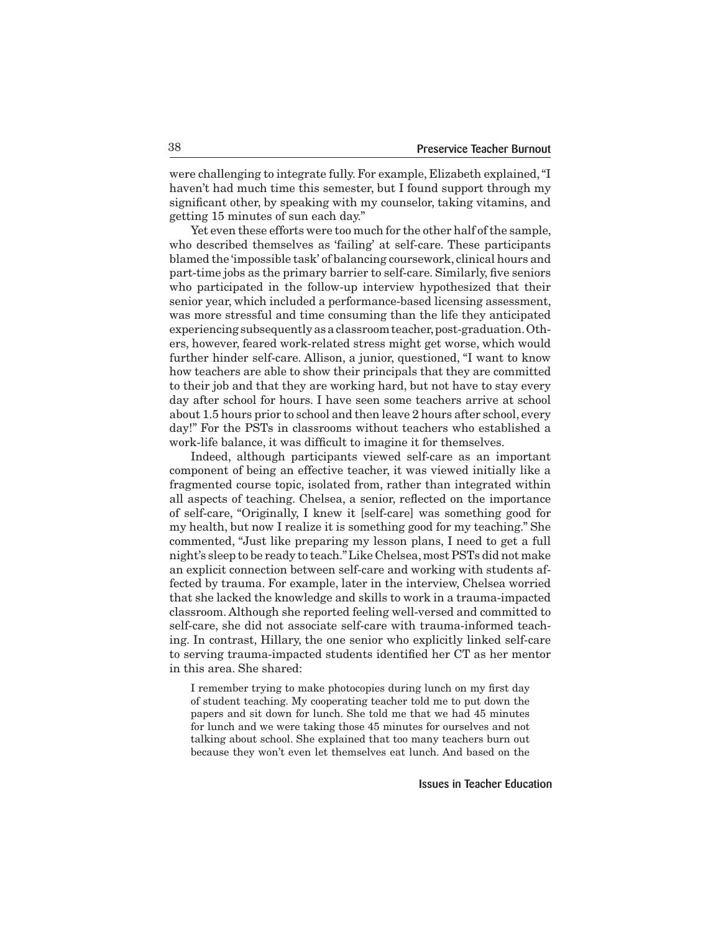were challenging to integrate fully. For example, Elizabeth explained, "I haven't had much time this semester, but I found support through my significant other, by speaking with my counselor, taking vitamins, and getting 15 minutes of sun each day."

Yet even these efforts were too much for the other half of the sample, who described themselves as 'failing' at self-care. These participants blamed the 'impossible task' of balancing coursework, clinical hours and part-time jobs as the primary barrier to self-care. Similarly, five seniors who participated in the follow-up interview hypothesized that their senior year, which included a performance-based licensing assessment, was more stressful and time consuming than the life they anticipated experiencing subsequently as a classroom teacher, post-graduation. Others, however, feared work-related stress might get worse, which would further hinder self-care. Allison, a junior, questioned, "I want to know how teachers are able to show their principals that they are committed to their job and that they are working hard, but not have to stay every day after school for hours. I have seen some teachers arrive at school about 1.5 hours prior to school and then leave 2 hours after school, every day!" For the PSTs in classrooms without teachers who established a work-life balance, it was difficult to imagine it for themselves.

Indeed, although participants viewed self-care as an important component of being an effective teacher, it was viewed initially like a fragmented course topic, isolated from, rather than integrated within all aspects of teaching. Chelsea, a senior, reflected on the importance of self-care, "Originally, I knew it [self-care] was something good for my health, but now I realize it is something good for my teaching." She commented, "Just like preparing my lesson plans, I need to get a full night's sleep to be ready to teach." Like Chelsea, most PSTs did not make an explicit connection between self-care and working with students affected by trauma. For example, later in the interview, Chelsea worried that she lacked the knowledge and skills to work in a trauma-impacted classroom. Although she reported feeling well-versed and committed to self-care, she did not associate self-care with trauma-informed teaching. In contrast, Hillary, the one senior who explicitly linked self-care to serving trauma-impacted students identified her CT as her mentor in this area. She shared:

I remember trying to make photocopies during lunch on my first day of student teaching. My cooperating teacher told me to put down the papers and sit down for lunch. She told me that we had 45 minutes for lunch and we were taking those 45 minutes for ourselves and not talking about school. She explained that too many teachers burn out because they won't even let themselves eat lunch. And based on the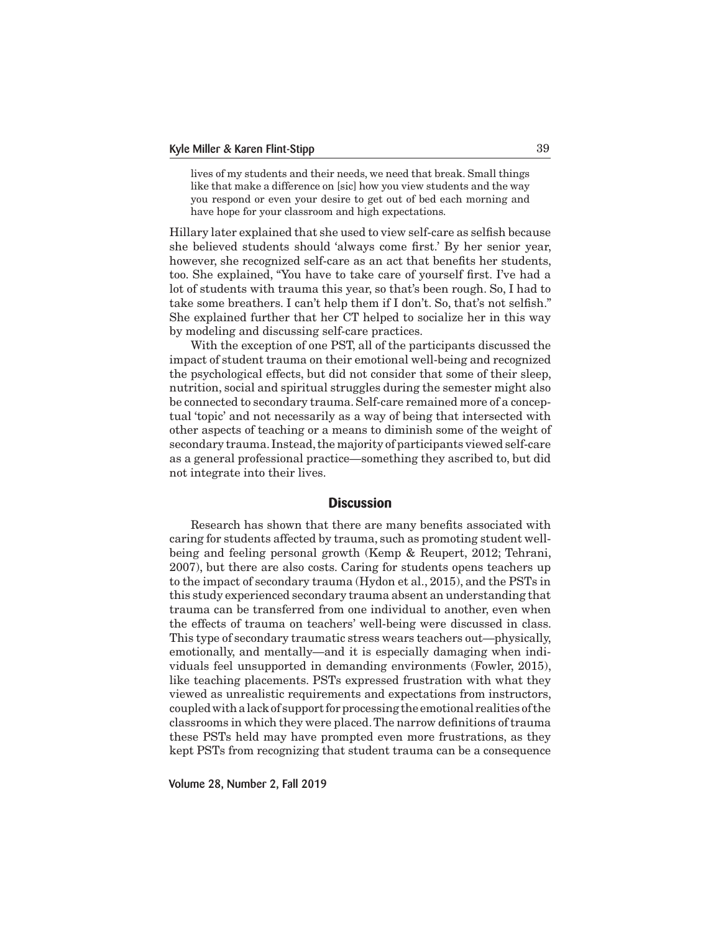lives of my students and their needs, we need that break. Small things like that make a difference on [sic] how you view students and the way you respond or even your desire to get out of bed each morning and have hope for your classroom and high expectations.

Hillary later explained that she used to view self-care as selfish because she believed students should 'always come first.' By her senior year, however, she recognized self-care as an act that benefits her students, too. She explained, "You have to take care of yourself first. I've had a lot of students with trauma this year, so that's been rough. So, I had to take some breathers. I can't help them if I don't. So, that's not selfish." She explained further that her CT helped to socialize her in this way by modeling and discussing self-care practices.

With the exception of one PST, all of the participants discussed the impact of student trauma on their emotional well-being and recognized the psychological effects, but did not consider that some of their sleep, nutrition, social and spiritual struggles during the semester might also be connected to secondary trauma. Self-care remained more of a conceptual 'topic' and not necessarily as a way of being that intersected with other aspects of teaching or a means to diminish some of the weight of secondary trauma. Instead, the majority of participants viewed self-care as a general professional practice—something they ascribed to, but did not integrate into their lives.

### **Discussion**

Research has shown that there are many benefits associated with caring for students affected by trauma, such as promoting student wellbeing and feeling personal growth (Kemp & Reupert, 2012; Tehrani, 2007), but there are also costs. Caring for students opens teachers up to the impact of secondary trauma (Hydon et al., 2015), and the PSTs in this study experienced secondary trauma absent an understanding that trauma can be transferred from one individual to another, even when the effects of trauma on teachers' well-being were discussed in class. This type of secondary traumatic stress wears teachers out—physically, emotionally, and mentally—and it is especially damaging when individuals feel unsupported in demanding environments (Fowler, 2015), like teaching placements. PSTs expressed frustration with what they viewed as unrealistic requirements and expectations from instructors, coupled with a lack of support for processing the emotional realities of the classrooms in which they were placed. The narrow definitions of trauma these PSTs held may have prompted even more frustrations, as they kept PSTs from recognizing that student trauma can be a consequence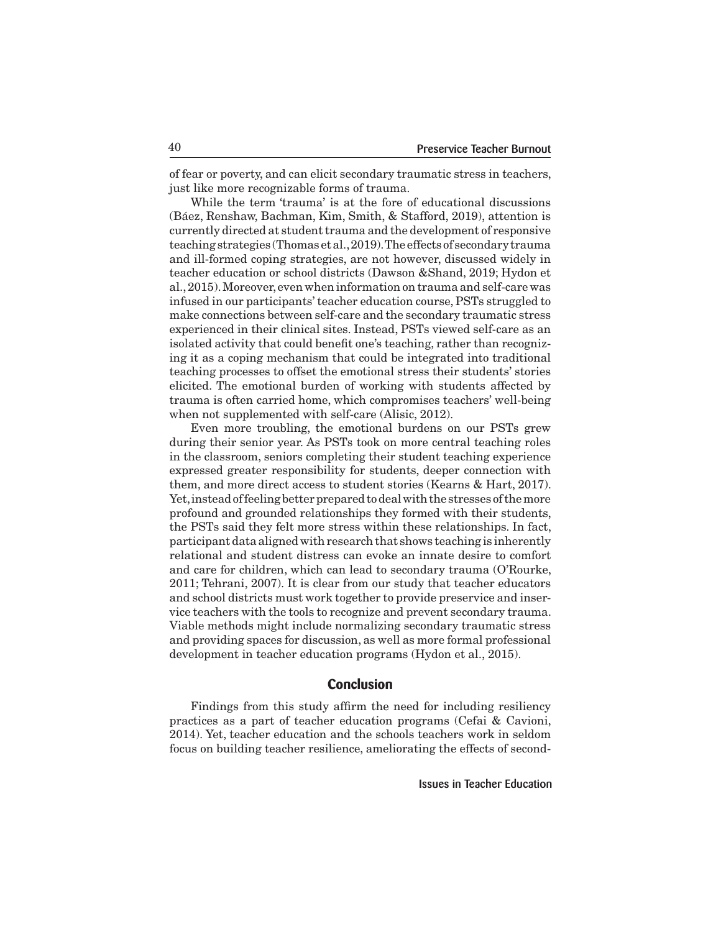of fear or poverty, and can elicit secondary traumatic stress in teachers, just like more recognizable forms of trauma.

While the term 'trauma' is at the fore of educational discussions (Báez, Renshaw, Bachman, Kim, Smith, & Stafford, 2019), attention is currently directed at student trauma and the development of responsive teaching strategies (Thomas et al., 2019). The effects of secondary trauma and ill-formed coping strategies, are not however, discussed widely in teacher education or school districts (Dawson &Shand, 2019; Hydon et al., 2015). Moreover, even when information on trauma and self-care was infused in our participants' teacher education course, PSTs struggled to make connections between self-care and the secondary traumatic stress experienced in their clinical sites. Instead, PSTs viewed self-care as an isolated activity that could benefit one's teaching, rather than recognizing it as a coping mechanism that could be integrated into traditional teaching processes to offset the emotional stress their students' stories elicited. The emotional burden of working with students affected by trauma is often carried home, which compromises teachers' well-being when not supplemented with self-care (Alisic, 2012).

Even more troubling, the emotional burdens on our PSTs grew during their senior year. As PSTs took on more central teaching roles in the classroom, seniors completing their student teaching experience expressed greater responsibility for students, deeper connection with them, and more direct access to student stories (Kearns & Hart, 2017). Yet, instead of feeling better prepared to deal with the stresses of the more profound and grounded relationships they formed with their students, the PSTs said they felt more stress within these relationships. In fact, participant data aligned with research that shows teaching is inherently relational and student distress can evoke an innate desire to comfort and care for children, which can lead to secondary trauma (O'Rourke, 2011; Tehrani, 2007). It is clear from our study that teacher educators and school districts must work together to provide preservice and inservice teachers with the tools to recognize and prevent secondary trauma. Viable methods might include normalizing secondary traumatic stress and providing spaces for discussion, as well as more formal professional development in teacher education programs (Hydon et al., 2015).

### **Conclusion**

Findings from this study affirm the need for including resiliency practices as a part of teacher education programs (Cefai & Cavioni, 2014). Yet, teacher education and the schools teachers work in seldom focus on building teacher resilience, ameliorating the effects of second-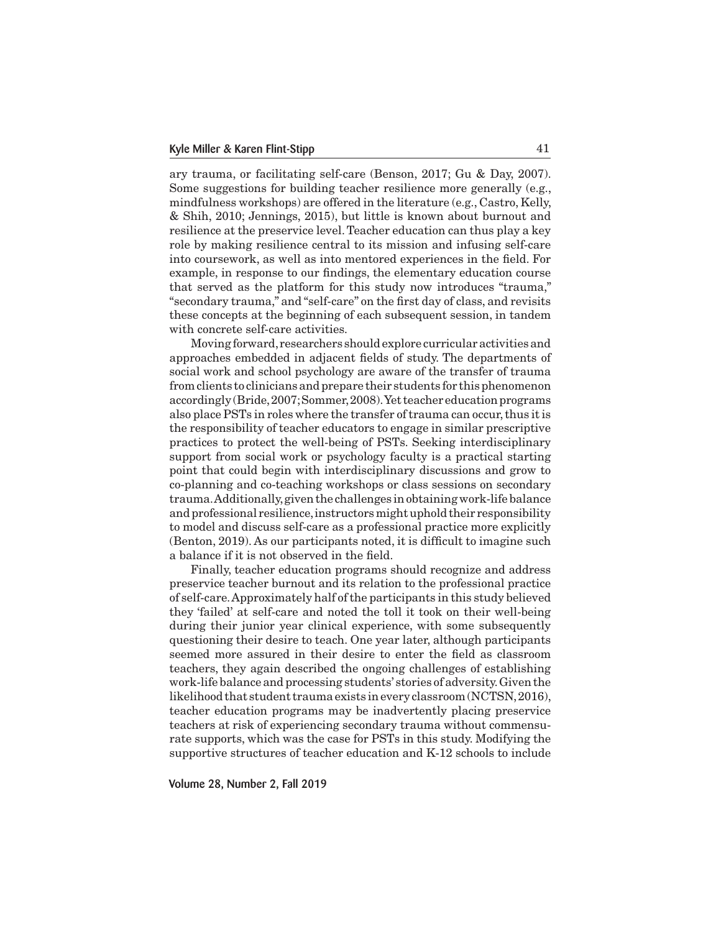ary trauma, or facilitating self-care (Benson, 2017; Gu & Day, 2007). Some suggestions for building teacher resilience more generally (e.g., mindfulness workshops) are offered in the literature (e.g., Castro, Kelly, & Shih, 2010; Jennings, 2015), but little is known about burnout and resilience at the preservice level. Teacher education can thus play a key role by making resilience central to its mission and infusing self-care into coursework, as well as into mentored experiences in the field. For example, in response to our findings, the elementary education course that served as the platform for this study now introduces "trauma," "secondary trauma," and "self-care" on the first day of class, and revisits these concepts at the beginning of each subsequent session, in tandem with concrete self-care activities.

Moving forward, researchers should explore curricular activities and approaches embedded in adjacent fields of study. The departments of social work and school psychology are aware of the transfer of trauma from clients to clinicians and prepare their students for this phenomenon accordingly (Bride, 2007; Sommer, 2008). Yet teacher education programs also place PSTs in roles where the transfer of trauma can occur, thus it is the responsibility of teacher educators to engage in similar prescriptive practices to protect the well-being of PSTs. Seeking interdisciplinary support from social work or psychology faculty is a practical starting point that could begin with interdisciplinary discussions and grow to co-planning and co-teaching workshops or class sessions on secondary trauma. Additionally, given the challenges in obtaining work-life balance and professional resilience, instructors might uphold their responsibility to model and discuss self-care as a professional practice more explicitly (Benton, 2019). As our participants noted, it is difficult to imagine such a balance if it is not observed in the field.

Finally, teacher education programs should recognize and address preservice teacher burnout and its relation to the professional practice of self-care. Approximately half of the participants in this study believed they 'failed' at self-care and noted the toll it took on their well-being during their junior year clinical experience, with some subsequently questioning their desire to teach. One year later, although participants seemed more assured in their desire to enter the field as classroom teachers, they again described the ongoing challenges of establishing work-life balance and processing students' stories of adversity. Given the likelihood that student trauma exists in every classroom (NCTSN, 2016), teacher education programs may be inadvertently placing preservice teachers at risk of experiencing secondary trauma without commensurate supports, which was the case for PSTs in this study. Modifying the supportive structures of teacher education and K-12 schools to include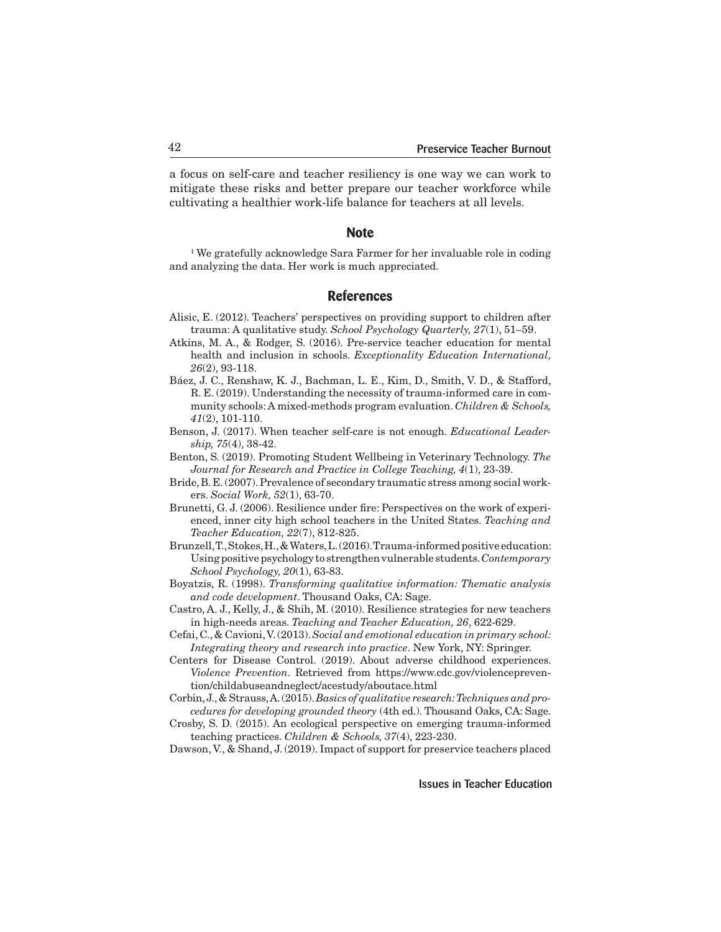a focus on self-care and teacher resiliency is one way we can work to mitigate these risks and better prepare our teacher workforce while cultivating a healthier work-life balance for teachers at all levels.

## **Note**

<sup>1</sup>We gratefully acknowledge Sara Farmer for her invaluable role in coding and analyzing the data. Her work is much appreciated.

### **References**

- Alisic, E. (2012). Teachers' perspectives on providing support to children after trauma: A qualitative study. *School Psychology Quarterly, 27*(1), 51–59.
- Atkins, M. A., & Rodger, S. (2016). Pre-service teacher education for mental health and inclusion in schools. *Exceptionality Education International, 26*(2), 93-118.
- Báez, J. C., Renshaw, K. J., Bachman, L. E., Kim, D., Smith, V. D., & Stafford, R. E. (2019). Understanding the necessity of trauma-informed care in community schools: A mixed-methods program evaluation. *Children & Schools, 41*(2), 101-110.
- Benson, J. (2017). When teacher self-care is not enough. *Educational Leadership, 75*(4), 38-42.
- Benton, S. (2019). Promoting Student Wellbeing in Veterinary Technology. *The Journal for Research and Practice in College Teaching, 4*(1), 23-39.
- Bride, B. E. (2007). Prevalence of secondary traumatic stress among social workers. *Social Work, 52*(1), 63-70.
- Brunetti, G. J. (2006). Resilience under fire: Perspectives on the work of experienced, inner city high school teachers in the United States. *Teaching and Teacher Education, 22*(7), 812-825.
- Brunzell, T., Stokes, H., & Waters, L. (2016). Trauma-informed positive education: Using positive psychology to strengthen vulnerable students. *Contemporary School Psychology, 20*(1), 63-83.
- Boyatzis, R. (1998). *Transforming qualitative information: Thematic analysis and code development*. Thousand Oaks, CA: Sage.
- Castro, A. J., Kelly, J., & Shih, M. (2010). Resilience strategies for new teachers in high-needs areas. *Teaching and Teacher Education, 26*, 622-629.
- Cefai, C., & Cavioni, V. (2013). *Social and emotional education in primary school: Integrating theory and research into practice*. New York, NY: Springer.
- Centers for Disease Control. (2019). About adverse childhood experiences. *Violence Prevention*. Retrieved from https://www.cdc.gov/violenceprevention/childabuseandneglect/acestudy/aboutace.html
- Corbin, J., & Strauss, A. (2015). *Basics of qualitative research: Techniques and procedures for developing grounded theory* (4th ed.). Thousand Oaks, CA: Sage.
- Crosby, S. D. (2015). An ecological perspective on emerging trauma-informed teaching practices. *Children & Schools, 37*(4), 223-230.
- Dawson, V., & Shand, J. (2019). Impact of support for preservice teachers placed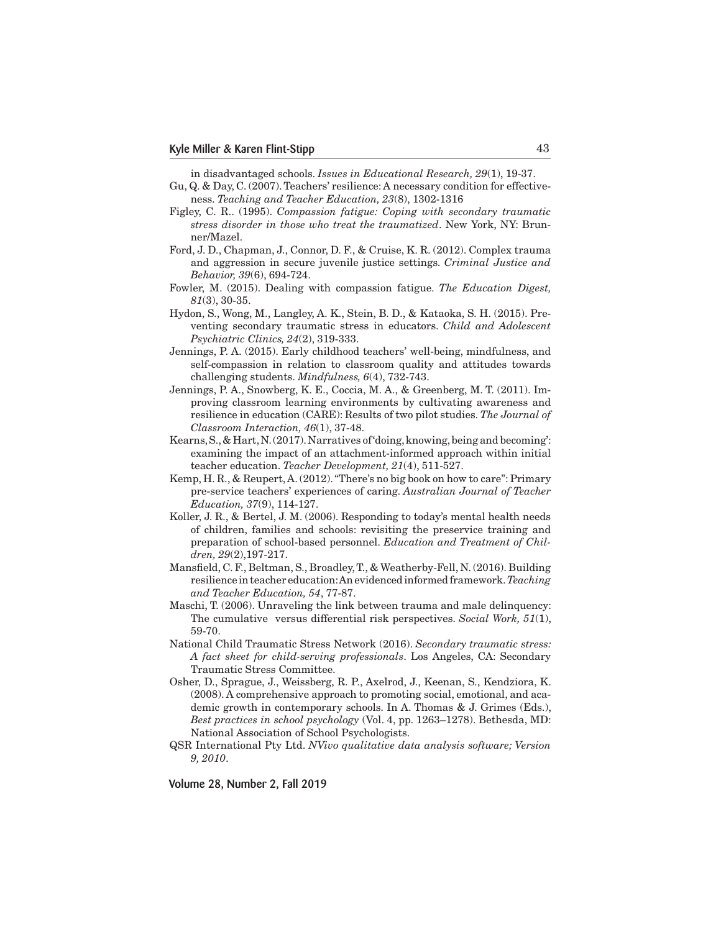in disadvantaged schools. *Issues in Educational Research, 29*(1), 19-37.

- Gu, Q. & Day, C. (2007). Teachers' resilience: A necessary condition for effectiveness. *Teaching and Teacher Education, 23*(8), 1302-1316
- Figley, C. R.. (1995). *Compassion fatigue: Coping with secondary traumatic stress disorder in those who treat the traumatized*. New York, NY: Brunner/Mazel.
- Ford, J. D., Chapman, J., Connor, D. F., & Cruise, K. R. (2012). Complex trauma and aggression in secure juvenile justice settings. *Criminal Justice and Behavior, 39*(6), 694-724.
- Fowler, M. (2015). Dealing with compassion fatigue. *The Education Digest, 81*(3), 30-35.
- Hydon, S., Wong, M., Langley, A. K., Stein, B. D., & Kataoka, S. H. (2015). Preventing secondary traumatic stress in educators. *Child and Adolescent Psychiatric Clinics, 24*(2), 319-333.
- Jennings, P. A. (2015). Early childhood teachers' well-being, mindfulness, and self-compassion in relation to classroom quality and attitudes towards challenging students. *Mindfulness, 6*(4), 732-743.
- Jennings, P. A., Snowberg, K. E., Coccia, M. A., & Greenberg, M. T. (2011). Improving classroom learning environments by cultivating awareness and resilience in education (CARE): Results of two pilot studies. *The Journal of Classroom Interaction, 46*(1), 37-48.
- Kearns, S., & Hart, N. (2017). Narratives of 'doing, knowing, being and becoming': examining the impact of an attachment-informed approach within initial teacher education. *Teacher Development, 21*(4), 511-527.
- Kemp, H. R., & Reupert, A. (2012). "There's no big book on how to care": Primary pre-service teachers' experiences of caring. *Australian Journal of Teacher Education, 37*(9), 114-127.
- Koller, J. R., & Bertel, J. M. (2006). Responding to today's mental health needs of children, families and schools: revisiting the preservice training and preparation of school-based personnel. *Education and Treatment of Children, 29*(2),197-217.
- Mansfield, C. F., Beltman, S., Broadley, T., & Weatherby-Fell, N. (2016). Building resilience in teacher education: An evidenced informed framework. *Teaching and Teacher Education, 54*, 77-87.
- Maschi, T. (2006). Unraveling the link between trauma and male delinquency: The cumulative versus differential risk perspectives. *Social Work, 51*(1), 59-70.
- National Child Traumatic Stress Network (2016). *Secondary traumatic stress: A fact sheet for child-serving professionals*. Los Angeles, CA: Secondary Traumatic Stress Committee.
- Osher, D., Sprague, J., Weissberg, R. P., Axelrod, J., Keenan, S., Kendziora, K. (2008). A comprehensive approach to promoting social, emotional, and academic growth in contemporary schools. In A. Thomas & J. Grimes (Eds.), *Best practices in school psychology* (Vol. 4, pp. 1263–1278). Bethesda, MD: National Association of School Psychologists.
- QSR International Pty Ltd. *NVivo qualitative data analysis software; Version 9, 2010*.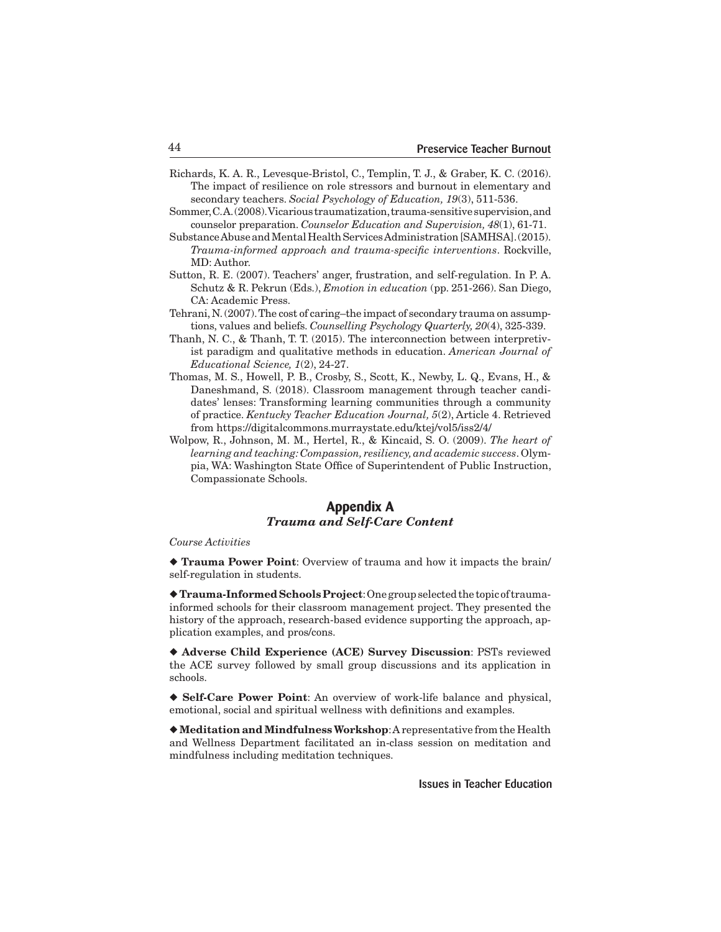- Richards, K. A. R., Levesque-Bristol, C., Templin, T. J., & Graber, K. C. (2016). The impact of resilience on role stressors and burnout in elementary and secondary teachers. *Social Psychology of Education, 19*(3), 511-536.
- Sommer, C. A. (2008). Vicarious traumatization, trauma-sensitive supervision, and counselor preparation. *Counselor Education and Supervision, 48*(1), 61-71.
- Substance Abuse and Mental Health Services Administration [SAMHSA]. (2015). *Trauma-informed approach and trauma-specific interventions*. Rockville, MD: Author.
- Sutton, R. E. (2007). Teachers' anger, frustration, and self-regulation. In P. A. Schutz & R. Pekrun (Eds.), *Emotion in education* (pp. 251-266). San Diego, CA: Academic Press.
- Tehrani, N. (2007). The cost of caring–the impact of secondary trauma on assumptions, values and beliefs. *Counselling Psychology Quarterly, 20*(4), 325-339.
- Thanh, N. C., & Thanh, T. T. (2015). The interconnection between interpretivist paradigm and qualitative methods in education. *American Journal of Educational Science, 1*(2), 24-27.
- Thomas, M. S., Howell, P. B., Crosby, S., Scott, K., Newby, L. Q., Evans, H., & Daneshmand, S. (2018). Classroom management through teacher candidates' lenses: Transforming learning communities through a community of practice. *Kentucky Teacher Education Journal, 5*(2), Article 4. Retrieved from https://digitalcommons.murraystate.edu/ktej/vol5/iss2/4/
- Wolpow, R., Johnson, M. M., Hertel, R., & Kincaid, S. O. (2009). *The heart of learning and teaching: Compassion, resiliency, and academic success*. Olympia, WA: Washington State Office of Superintendent of Public Instruction, Compassionate Schools.

# **Appendix A** *Trauma and Self-Care Content*

#### *Course Activities*

Trauma Power Point: Overview of trauma and how it impacts the brain/ self-regulation in students.

 $\blacklozenge$  Trauma-Informed Schools Project: One group selected the topic of traumainformed schools for their classroom management project. They presented the history of the approach, research-based evidence supporting the approach, application examples, and pros/cons.

u Adverse Child Experience (ACE) Survey Discussion: PSTs reviewed the ACE survey followed by small group discussions and its application in schools.

◆ Self-Care Power Point: An overview of work-life balance and physical, emotional, social and spiritual wellness with definitions and examples.

 $\blacklozenge$  Meditation and Mindfulness Workshop: A representative from the Health and Wellness Department facilitated an in-class session on meditation and mindfulness including meditation techniques.